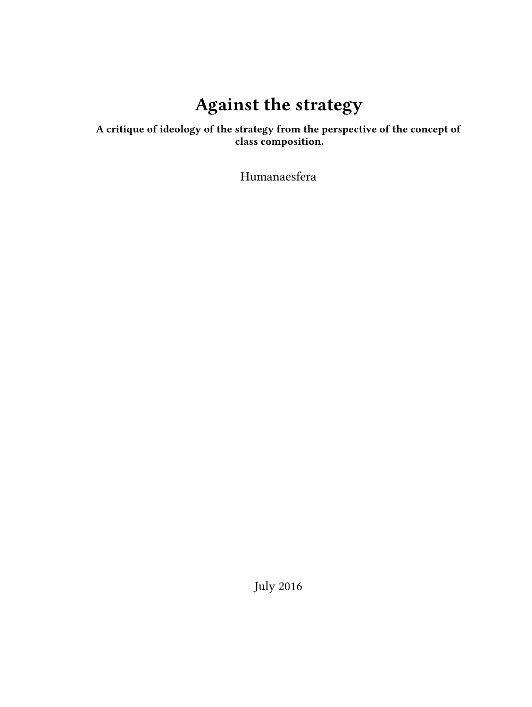# **Against the strategy**

## **A critique of ideology of the strategy from the perspective of the concept of class composition.**

Humanaesfera

July 2016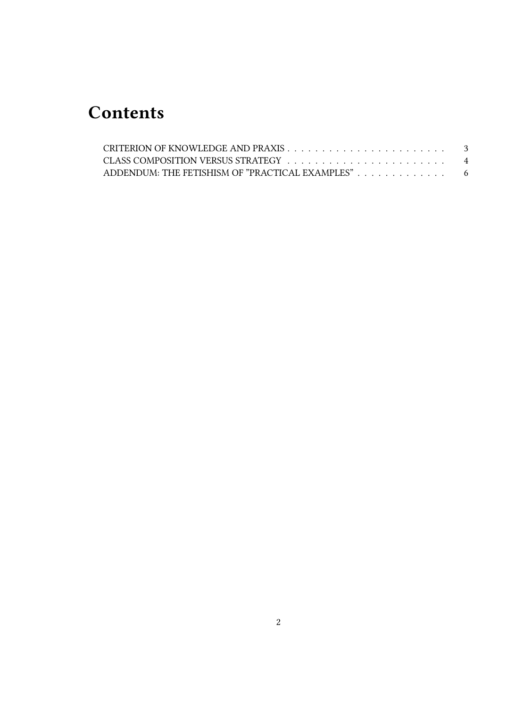## **Contents**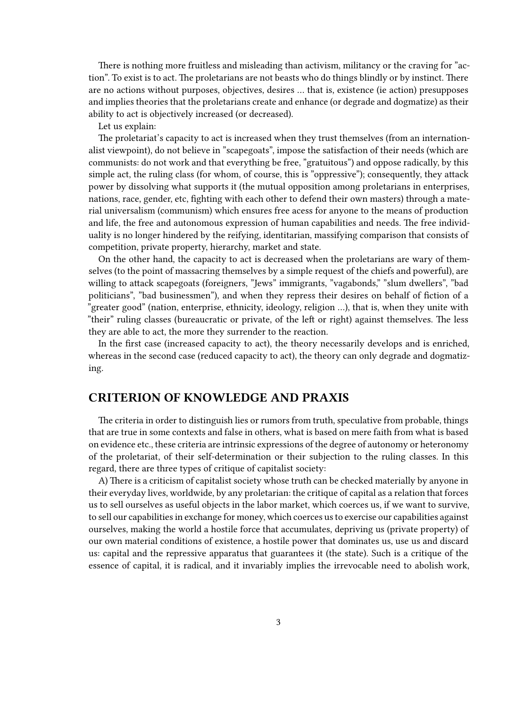There is nothing more fruitless and misleading than activism, militancy or the craving for "action". To exist is to act. The proletarians are not beasts who do things blindly or by instinct. There are no actions without purposes, objectives, desires … that is, existence (ie action) presupposes and implies theories that the proletarians create and enhance (or degrade and dogmatize) as their ability to act is objectively increased (or decreased).

Let us explain:

The proletariat's capacity to act is increased when they trust themselves (from an internationalist viewpoint), do not believe in "scapegoats", impose the satisfaction of their needs (which are communists: do not work and that everything be free, "gratuitous") and oppose radically, by this simple act, the ruling class (for whom, of course, this is "oppressive"); consequently, they attack power by dissolving what supports it (the mutual opposition among proletarians in enterprises, nations, race, gender, etc, fighting with each other to defend their own masters) through a material universalism (communism) which ensures free acess for anyone to the means of production and life, the free and autonomous expression of human capabilities and needs. The free individuality is no longer hindered by the reifying, identitarian, massifying comparison that consists of competition, private property, hierarchy, market and state.

On the other hand, the capacity to act is decreased when the proletarians are wary of themselves (to the point of massacring themselves by a simple request of the chiefs and powerful), are willing to attack scapegoats (foreigners, "Jews" immigrants, "vagabonds," "slum dwellers", "bad politicians", "bad businessmen"), and when they repress their desires on behalf of fiction of a "greater good" (nation, enterprise, ethnicity, ideology, religion …), that is, when they unite with "their" ruling classes (bureaucratic or private, of the left or right) against themselves. The less they are able to act, the more they surrender to the reaction.

In the first case (increased capacity to act), the theory necessarily develops and is enriched, whereas in the second case (reduced capacity to act), the theory can only degrade and dogmatizing.

#### <span id="page-2-0"></span>**CRITERION OF KNOWLEDGE AND PRAXIS**

The criteria in order to distinguish lies or rumors from truth, speculative from probable, things that are true in some contexts and false in others, what is based on mere faith from what is based on evidence etc., these criteria are intrinsic expressions of the degree of autonomy or heteronomy of the proletariat, of their self-determination or their subjection to the ruling classes. In this regard, there are three types of critique of capitalist society:

A) There is a criticism of capitalist society whose truth can be checked materially by anyone in their everyday lives, worldwide, by any proletarian: the critique of capital as a relation that forces us to sell ourselves as useful objects in the labor market, which coerces us, if we want to survive, to sell our capabilities in exchange for money, which coerces us to exercise our capabilities against ourselves, making the world a hostile force that accumulates, depriving us (private property) of our own material conditions of existence, a hostile power that dominates us, use us and discard us: capital and the repressive apparatus that guarantees it (the state). Such is a critique of the essence of capital, it is radical, and it invariably implies the irrevocable need to abolish work,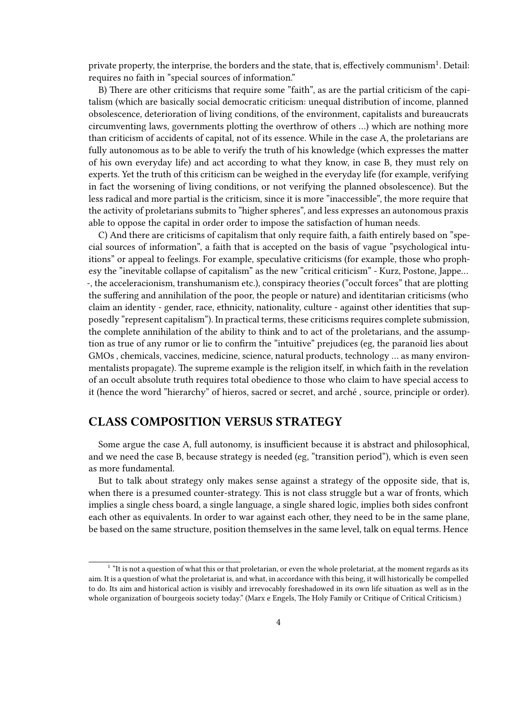private property, the interprise, the borders and the state, that is, effectively communism $^1$ . Detail: requires no faith in "special sources of information."

B) There are other criticisms that require some "faith", as are the partial criticism of the capitalism (which are basically social democratic criticism: unequal distribution of income, planned obsolescence, deterioration of living conditions, of the environment, capitalists and bureaucrats circumventing laws, governments plotting the overthrow of others …) which are nothing more than criticism of accidents of capital, not of its essence. While in the case A, the proletarians are fully autonomous as to be able to verify the truth of his knowledge (which expresses the matter of his own everyday life) and act according to what they know, in case B, they must rely on experts. Yet the truth of this criticism can be weighed in the everyday life (for example, verifying in fact the worsening of living conditions, or not verifying the planned obsolescence). But the less radical and more partial is the criticism, since it is more "inaccessible", the more require that the activity of proletarians submits to "higher spheres", and less expresses an autonomous praxis able to oppose the capital in order order to impose the satisfaction of human needs.

C) And there are criticisms of capitalism that only require faith, a faith entirely based on "special sources of information", a faith that is accepted on the basis of vague "psychological intuitions" or appeal to feelings. For example, speculative criticisms (for example, those who prophesy the "inevitable collapse of capitalism" as the new "critical criticism" - Kurz, Postone, Jappe… -, the acceleracionism, transhumanism etc.), conspiracy theories ("occult forces" that are plotting the suffering and annihilation of the poor, the people or nature) and identitarian criticisms (who claim an identity - gender, race, ethnicity, nationality, culture - against other identities that supposedly "represent capitalism"). In practical terms, these criticisms requires complete submission, the complete annihilation of the ability to think and to act of the proletarians, and the assumption as true of any rumor or lie to confirm the "intuitive" prejudices (eg, the paranoid lies about GMOs , chemicals, vaccines, medicine, science, natural products, technology … as many environmentalists propagate). The supreme example is the religion itself, in which faith in the revelation of an occult absolute truth requires total obedience to those who claim to have special access to it (hence the word "hierarchy" of hieros, sacred or secret, and arché , source, principle or order).

#### <span id="page-3-0"></span>**CLASS COMPOSITION VERSUS STRATEGY**

Some argue the case A, full autonomy, is insufficient because it is abstract and philosophical, and we need the case B, because strategy is needed (eg, "transition period"), which is even seen as more fundamental.

But to talk about strategy only makes sense against a strategy of the opposite side, that is, when there is a presumed counter-strategy. This is not class struggle but a war of fronts, which implies a single chess board, a single language, a single shared logic, implies both sides confront each other as equivalents. In order to war against each other, they need to be in the same plane, be based on the same structure, position themselves in the same level, talk on equal terms. Hence

<sup>&</sup>lt;sup>1</sup> "It is not a question of what this or that proletarian, or even the whole proletariat, at the moment regards as its aim. It is a question of what the proletariat is, and what, in accordance with this being, it will historically be compelled to do. Its aim and historical action is visibly and irrevocably foreshadowed in its own life situation as well as in the whole organization of bourgeois society today." (Marx e Engels, The Holy Family or Critique of Critical Criticism.)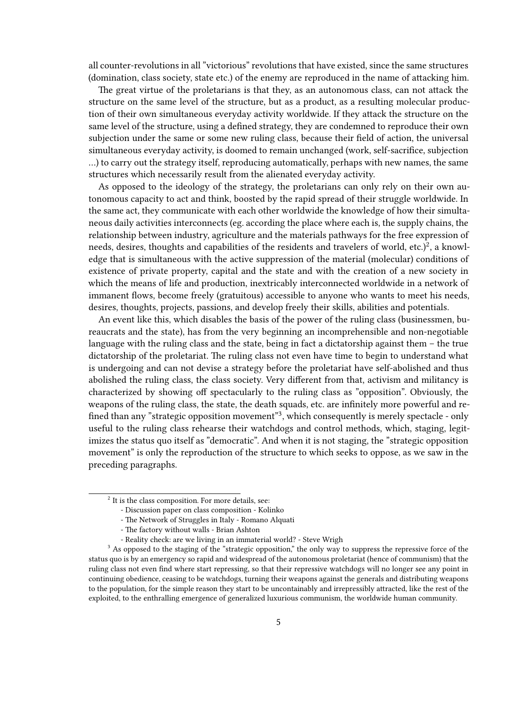all counter-revolutions in all "victorious" revolutions that have existed, since the same structures (domination, class society, state etc.) of the enemy are reproduced in the name of attacking him.

The great virtue of the proletarians is that they, as an autonomous class, can not attack the structure on the same level of the structure, but as a product, as a resulting molecular production of their own simultaneous everyday activity worldwide. If they attack the structure on the same level of the structure, using a defined strategy, they are condemned to reproduce their own subjection under the same or some new ruling class, because their field of action, the universal simultaneous everyday activity, is doomed to remain unchanged (work, self-sacrifice, subjection …) to carry out the strategy itself, reproducing automatically, perhaps with new names, the same structures which necessarily result from the alienated everyday activity.

As opposed to the ideology of the strategy, the proletarians can only rely on their own autonomous capacity to act and think, boosted by the rapid spread of their struggle worldwide. In the same act, they communicate with each other worldwide the knowledge of how their simultaneous daily activities interconnects (eg. according the place where each is, the supply chains, the relationship between industry, agriculture and the materials pathways for the free expression of needs, desires, thoughts and capabilities of the residents and travelers of world, etc.)<sup>2</sup>, a knowledge that is simultaneous with the active suppression of the material (molecular) conditions of existence of private property, capital and the state and with the creation of a new society in which the means of life and production, inextricably interconnected worldwide in a network of immanent flows, become freely (gratuitous) accessible to anyone who wants to meet his needs, desires, thoughts, projects, passions, and develop freely their skills, abilities and potentials.

An event like this, which disables the basis of the power of the ruling class (businessmen, bureaucrats and the state), has from the very beginning an incomprehensible and non-negotiable language with the ruling class and the state, being in fact a dictatorship against them – the true dictatorship of the proletariat. The ruling class not even have time to begin to understand what is undergoing and can not devise a strategy before the proletariat have self-abolished and thus abolished the ruling class, the class society. Very different from that, activism and militancy is characterized by showing off spectacularly to the ruling class as "opposition". Obviously, the weapons of the ruling class, the state, the death squads, etc. are infinitely more powerful and refined than any "strategic opposition movement"<sup>3</sup>, which consequently is merely spectacle - only useful to the ruling class rehearse their watchdogs and control methods, which, staging, legitimizes the status quo itself as "democratic". And when it is not staging, the "strategic opposition movement" is only the reproduction of the structure to which seeks to oppose, as we saw in the preceding paragraphs.

 $2$  It is the class composition. For more details, see:

<sup>-</sup> Discussion paper on class composition - Kolinko

<sup>-</sup> The Network of Struggles in Italy - Romano Alquati

<sup>-</sup> The factory without walls - Brian Ashton

<sup>-</sup> Reality check: are we living in an immaterial world? - Steve Wrigh

<sup>&</sup>lt;sup>3</sup> As opposed to the staging of the "strategic opposition," the only way to suppress the repressive force of the status quo is by an emergency so rapid and widespread of the autonomous proletariat (hence of communism) that the ruling class not even find where start repressing, so that their repressive watchdogs will no longer see any point in continuing obedience, ceasing to be watchdogs, turning their weapons against the generals and distributing weapons to the population, for the simple reason they start to be uncontainably and irrepressibly attracted, like the rest of the exploited, to the enthralling emergence of generalized luxurious communism, the worldwide human community.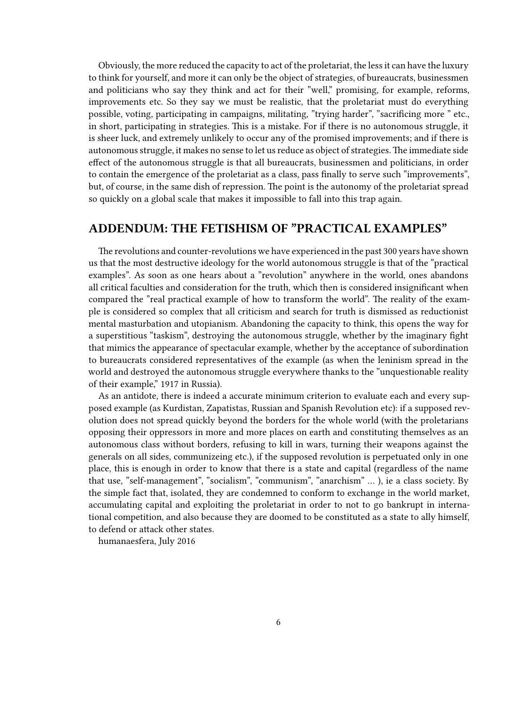Obviously, the more reduced the capacity to act of the proletariat, the less it can have the luxury to think for yourself, and more it can only be the object of strategies, of bureaucrats, businessmen and politicians who say they think and act for their "well," promising, for example, reforms, improvements etc. So they say we must be realistic, that the proletariat must do everything possible, voting, participating in campaigns, militating, "trying harder", "sacrificing more " etc., in short, participating in strategies. This is a mistake. For if there is no autonomous struggle, it is sheer luck, and extremely unlikely to occur any of the promised improvements; and if there is autonomous struggle, it makes no sense to let us reduce as object of strategies.The immediate side effect of the autonomous struggle is that all bureaucrats, businessmen and politicians, in order to contain the emergence of the proletariat as a class, pass finally to serve such "improvements", but, of course, in the same dish of repression. The point is the autonomy of the proletariat spread so quickly on a global scale that makes it impossible to fall into this trap again.

### <span id="page-5-0"></span>**ADDENDUM: THE FETISHISM OF "PRACTICAL EXAMPLES"**

The revolutions and counter-revolutions we have experienced in the past 300 years have shown us that the most destructive ideology for the world autonomous struggle is that of the "practical examples". As soon as one hears about a "revolution" anywhere in the world, ones abandons all critical faculties and consideration for the truth, which then is considered insignificant when compared the "real practical example of how to transform the world". The reality of the example is considered so complex that all criticism and search for truth is dismissed as reductionist mental masturbation and utopianism. Abandoning the capacity to think, this opens the way for a superstitious "taskism", destroying the autonomous struggle, whether by the imaginary fight that mimics the appearance of spectacular example, whether by the acceptance of subordination to bureaucrats considered representatives of the example (as when the leninism spread in the world and destroyed the autonomous struggle everywhere thanks to the "unquestionable reality" of their example," 1917 in Russia).

As an antidote, there is indeed a accurate minimum criterion to evaluate each and every supposed example (as Kurdistan, Zapatistas, Russian and Spanish Revolution etc): if a supposed revolution does not spread quickly beyond the borders for the whole world (with the proletarians opposing their oppressors in more and more places on earth and constituting themselves as an autonomous class without borders, refusing to kill in wars, turning their weapons against the generals on all sides, communizeing etc.), if the supposed revolution is perpetuated only in one place, this is enough in order to know that there is a state and capital (regardless of the name that use, "self-management", "socialism", "communism", "anarchism" … ), ie a class society. By the simple fact that, isolated, they are condemned to conform to exchange in the world market, accumulating capital and exploiting the proletariat in order to not to go bankrupt in international competition, and also because they are doomed to be constituted as a state to ally himself, to defend or attack other states.

humanaesfera, July 2016